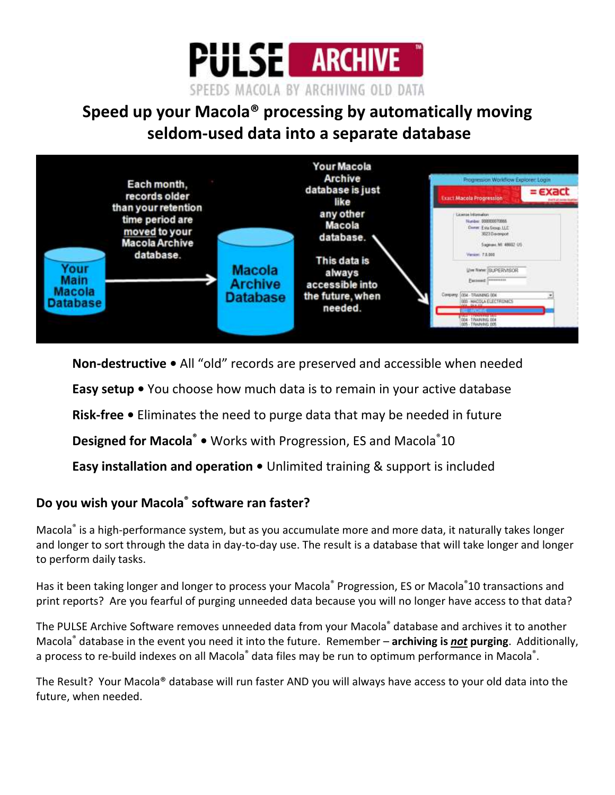

# **Speed up your Macola® processing by automatically moving seldom-used data into a separate database**



**Non-destructive •** All "old" records are preserved and accessible when needed

**Easy setup •** You choose how much data is to remain in your active database

**Risk-free •** Eliminates the need to purge data that may be needed in future

**Designed for Macola® •** Works with Progression, ES and Macola®10

**Easy installation and operation •** Unlimited training & support is included

# **Do you wish your Macola® software ran faster?**

Macola® is a high-performance system, but as you accumulate more and more data, it naturally takes longer and longer to sort through the data in day-to-day use. The result is a database that will take longer and longer to perform daily tasks.

Has it been taking longer and longer to process your Macola® Progression, ES or Macola®10 transactions and print reports? Are you fearful of purging unneeded data because you will no longer have access to that data?

The PULSE Archive Software removes unneeded data from your Macola® database and archives it to another Macola® database in the event you need it into the future. Remember – **archiving is** *not* **purging**. Additionally, a process to re-build indexes on all Macola® data files may be run to optimum performance in Macola®.

The Result? Your Macola® database will run faster AND you will always have access to your old data into the future, when needed.